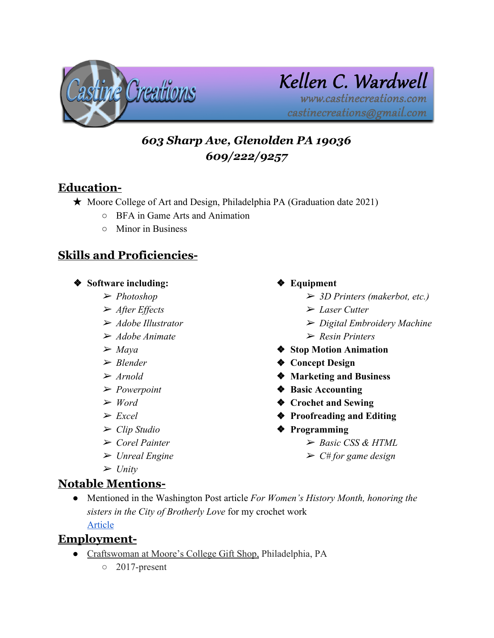

# Kellen C. Wardwell www.castinecreations.com

castinecreations@gmail.com

# *603 Sharp Ave, Glenolden PA 19036 609/222/9257*

## **Education-**

- ★ Moore College of Art and Design, Philadelphia PA (Graduation date 2021)
	- BFA in Game Arts and Animation
	- Minor in Business

## **Skills and Proficiencies-**

#### ❖ **Software including:**

- ➢ *Photoshop*
- ➢ *After Effects*
- ➢ *Adobe Illustrator*
- ➢ *Adobe Animate*
- ➢ *Maya*
- ➢ *Blender*
- ➢ *Arnold*
- ➢ *Powerpoint*
- ➢ *Word*
- ➢ *Excel*
- ➢ *Clip Studio*
- ➢ *Corel Painter*
- ➢ *Unreal Engine*
- ➢ *Unity*

# ❖ **Equipment**

- ➢ *3D Printers (makerbot, etc.)*
- ➢ *Laser Cutter*
- ➢ *Digital Embroidery Machine*
- ➢ *Resin Printers*
- ❖ **Stop Motion Animation**
- ❖ **Concept Design**
- ❖ **Marketing and Business**
- ❖ **Basic Accounting**
- ❖ **Crochet and Sewing**
- ❖ **Proofreading and Editing**
- ❖ **Programming**
	- ➢ *Basic CSS & HTML*
	- ➢ *C# for game design*

- **Notable Mentions-**
	- Mentioned in the Washington Post article *For Women's History Month, honoring the sisters in the City of Brotherly Love* for my crochet work

[Article](https://www.washingtonpost.com/lifestyle/travel/for-womens-history-month-honoring-the-sisters-of-the-city-of-brotherly-love/2019/03/21/730d912c-410e-11e9-a0d3-1210e58a94cf_story.html)

## **Employment-**

- Craftswoman at Moore's College Gift Shop, Philadelphia, PA
	- 2017-present